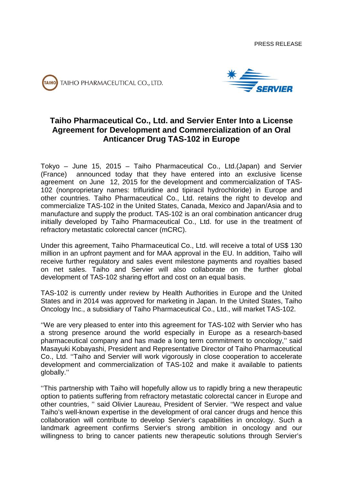PRESS RELEASE





# **Taiho Pharmaceutical Co., Ltd. and Servier Enter Into a License Agreement for Development and Commercialization of an Oral Anticancer Drug TAS-102 in Europe**

Tokyo – June 15, 2015 – Taiho Pharmaceutical Co., Ltd.(Japan) and Servier (France) announced today that they have entered into an exclusive license agreement on June 12, 2015 for the development and commercialization of TAS-102 (nonproprietary names: trifluridine and tipiracil hydrochloride) in Europe and other countries. Taiho Pharmaceutical Co., Ltd. retains the right to develop and commercialize TAS-102 in the United States, Canada, Mexico and Japan/Asia and to manufacture and supply the product. TAS-102 is an oral combination anticancer drug initially developed by Taiho Pharmaceutical Co., Ltd. for use in the treatment of refractory metastatic colorectal cancer (mCRC).

Under this agreement, Taiho Pharmaceutical Co., Ltd. will receive a total of US\$ 130 million in an upfront payment and for MAA approval in the EU. In addition, Taiho will receive further regulatory and sales event milestone payments and royalties based on net sales. Taiho and Servier will also collaborate on the further global development of TAS-102 sharing effort and cost on an equal basis.

TAS-102 is currently under review by Health Authorities in Europe and the United States and in 2014 was approved for marketing in Japan. In the United States, Taiho Oncology Inc., a subsidiary of Taiho Pharmaceutical Co., Ltd., will market TAS-102.

''We are very pleased to enter into this agreement for TAS-102 with Servier who has a strong presence around the world especially in Europe as a research-based pharmaceutical company and has made a long term commitment to oncology,'' said Masayuki Kobayashi, President and Representative Director of Taiho Pharmaceutical Co., Ltd. ''Taiho and Servier will work vigorously in close cooperation to accelerate development and commercialization of TAS-102 and make it available to patients globally.''

''This partnership with Taiho will hopefully allow us to rapidly bring a new therapeutic option to patients suffering from refractory metastatic colorectal cancer in Europe and other countries, '' said Olivier Laureau, President of Servier. ''We respect and value Taiho's well-known expertise in the development of oral cancer drugs and hence this collaboration will contribute to develop Servier's capabilities in oncology. Such a landmark agreement confirms Servier's strong ambition in oncology and our willingness to bring to cancer patients new therapeutic solutions through Servier's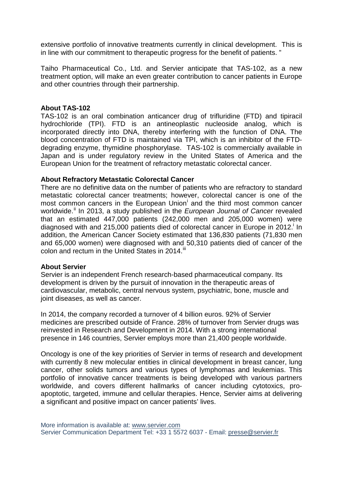extensive portfolio of innovative treatments currently in clinical development. This is in line with our commitment to therapeutic progress for the benefit of patients. "

Taiho Pharmaceutical Co., Ltd. and Servier anticipate that TAS-102, as a new treatment option, will make an even greater contribution to cancer patients in Europe and other countries through their partnership.

# **About TAS-102**

TAS-102 is an oral combination anticancer drug of trifluridine (FTD) and tipiracil hydrochloride (TPI). FTD is an antineoplastic nucleoside analog, which is incorporated directly into DNA, thereby interfering with the function of DNA. The blood concentration of FTD is maintained via TPI, which is an inhibitor of the FTDdegrading enzyme, thymidine phosphorylase. TAS-102 is commercially available in Japan and is under regulatory review in the United States of America and the European Union for the treatment of refractory metastatic colorectal cancer.

### **About Refractory Metastatic Colorectal Cancer**

There are no definitive data on the number of patients who are refractory to standard metastatic colorectal cancer treatments; however, colorectal cancer is one of the most common cancers [i](#page-2-0)n the European Union<sup>1</sup> and the third most common cancer worldwide.<sup>[ii](#page-2-1)</sup> In 2013, a study published in the *European Journal of Cancer* revealed that an estimated 447,000 patients (242,000 men and 205,000 women) were diagnosed with and 215,000 patients died of colorectal cancer in Europe in 2012. In addition, the American Cancer Society estimated that 136,830 patients (71,830 men and 65,000 women) were diagnosed with and 50,310 patients died of cancer of the colon and rectum in the United States in 2014.<sup>[iii](#page-2-2)</sup>

#### **About Servier**

Servier is an independent French research-based pharmaceutical company. Its development is driven by the pursuit of innovation in the therapeutic areas of cardiovascular, metabolic, central nervous system, psychiatric, bone, muscle and joint diseases, as well as cancer.

In 2014, the company recorded a turnover of 4 billion euros. 92% of Servier medicines are prescribed outside of France. 28% of turnover from Servier drugs was reinvested in Research and Development in 2014. With a strong international presence in 146 countries, Servier employs more than 21,400 people worldwide.

Oncology is one of the key priorities of Servier in terms of research and development with currently 8 new molecular entities in clinical development in breast cancer, lung cancer, other solids tumors and various types of lymphomas and leukemias. This portfolio of innovative cancer treatments is being developed with various partners worldwide, and covers different hallmarks of cancer including cytotoxics, proapoptotic, targeted, immune and cellular therapies. Hence, Servier aims at delivering a significant and positive impact on cancer patients' lives.